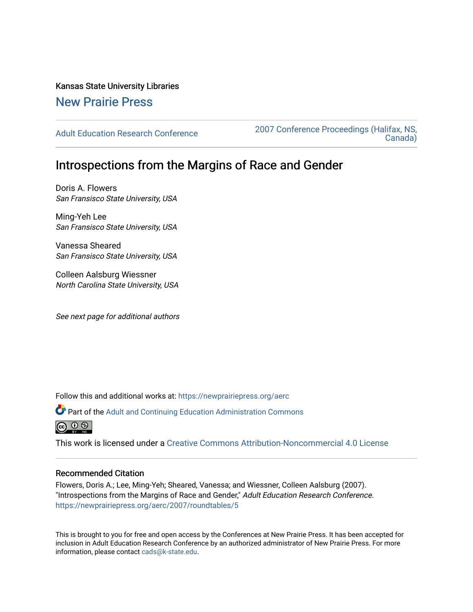Kansas State University Libraries

## [New Prairie Press](https://newprairiepress.org/)

[Adult Education Research Conference](https://newprairiepress.org/aerc) [2007 Conference Proceedings \(Halifax, NS,](https://newprairiepress.org/aerc/2007)  [Canada\)](https://newprairiepress.org/aerc/2007) 

# Introspections from the Margins of Race and Gender

Doris A. Flowers San Fransisco State University, USA

Ming-Yeh Lee San Fransisco State University, USA

Vanessa Sheared San Fransisco State University, USA

Colleen Aalsburg Wiessner North Carolina State University, USA

See next page for additional authors

Follow this and additional works at: [https://newprairiepress.org/aerc](https://newprairiepress.org/aerc?utm_source=newprairiepress.org%2Faerc%2F2007%2Froundtables%2F5&utm_medium=PDF&utm_campaign=PDFCoverPages)

Part of the [Adult and Continuing Education Administration Commons](http://network.bepress.com/hgg/discipline/789?utm_source=newprairiepress.org%2Faerc%2F2007%2Froundtables%2F5&utm_medium=PDF&utm_campaign=PDFCoverPages) ெ 0 ®

This work is licensed under a [Creative Commons Attribution-Noncommercial 4.0 License](https://creativecommons.org/licenses/by-nc/4.0/)

#### Recommended Citation

Flowers, Doris A.; Lee, Ming-Yeh; Sheared, Vanessa; and Wiessner, Colleen Aalsburg (2007). "Introspections from the Margins of Race and Gender," Adult Education Research Conference. <https://newprairiepress.org/aerc/2007/roundtables/5>

This is brought to you for free and open access by the Conferences at New Prairie Press. It has been accepted for inclusion in Adult Education Research Conference by an authorized administrator of New Prairie Press. For more information, please contact [cads@k-state.edu](mailto:cads@k-state.edu).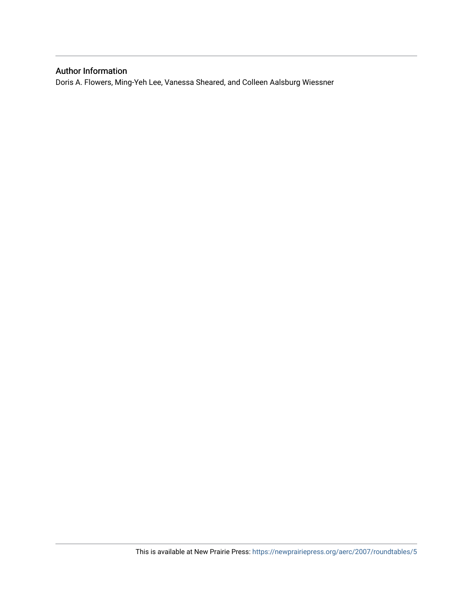### Author Information

Doris A. Flowers, Ming-Yeh Lee, Vanessa Sheared, and Colleen Aalsburg Wiessner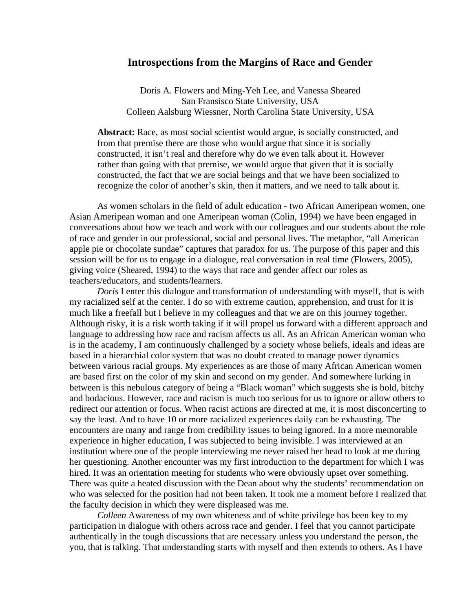#### **Introspections from the Margins of Race and Gender**

Doris A. Flowers and Ming-Yeh Lee, and Vanessa Sheared San Fransisco State University, USA Colleen Aalsburg Wiessner, North Carolina State University, USA

**Abstract:** Race, as most social scientist would argue, is socially constructed, and from that premise there are those who would argue that since it is socially constructed, it isn't real and therefore why do we even talk about it. However rather than going with that premise, we would argue that given that it is socially constructed, the fact that we are social beings and that we have been socialized to recognize the color of another's skin, then it matters, and we need to talk about it.

As women scholars in the field of adult education - two African Ameripean women, one Asian Ameripean woman and one Ameripean woman (Colin, 1994) we have been engaged in conversations about how we teach and work with our colleagues and our students about the role of race and gender in our professional, social and personal lives. The metaphor, "all American apple pie or chocolate sundae" captures that paradox for us. The purpose of this paper and this session will be for us to engage in a dialogue, real conversation in real time (Flowers, 2005), giving voice (Sheared, 1994) to the ways that race and gender affect our roles as teachers/educators, and students/learners.

*Doris* I enter this dialogue and transformation of understanding with myself, that is with my racialized self at the center. I do so with extreme caution, apprehension, and trust for it is much like a freefall but I believe in my colleagues and that we are on this journey together. Although risky, it is a risk worth taking if it will propel us forward with a different approach and language to addressing how race and racism affects us all. As an African American woman who is in the academy, I am continuously challenged by a society whose beliefs, ideals and ideas are based in a hierarchial color system that was no doubt created to manage power dynamics between various racial groups. My experiences as are those of many African American women are based first on the color of my skin and second on my gender. And somewhere lurking in between is this nebulous category of being a "Black woman" which suggests she is bold, bitchy and bodacious. However, race and racism is much too serious for us to ignore or allow others to redirect our attention or focus. When racist actions are directed at me, it is most disconcerting to say the least. And to have 10 or more racialized experiences daily can be exhausting. The encounters are many and range from credibility issues to being ignored. In a more memorable experience in higher education, I was subjected to being invisible. I was interviewed at an institution where one of the people interviewing me never raised her head to look at me during her questioning. Another encounter was my first introduction to the department for which I was hired. It was an orientation meeting for students who were obviously upset over something. There was quite a heated discussion with the Dean about why the students' recommendation on who was selected for the position had not been taken. It took me a moment before I realized that the faculty decision in which they were displeased was me.

*Colleen* Awareness of my own whiteness and of white privilege has been key to my participation in dialogue with others across race and gender. I feel that you cannot participate authentically in the tough discussions that are necessary unless you understand the person, the you, that is talking. That understanding starts with myself and then extends to others. As I have